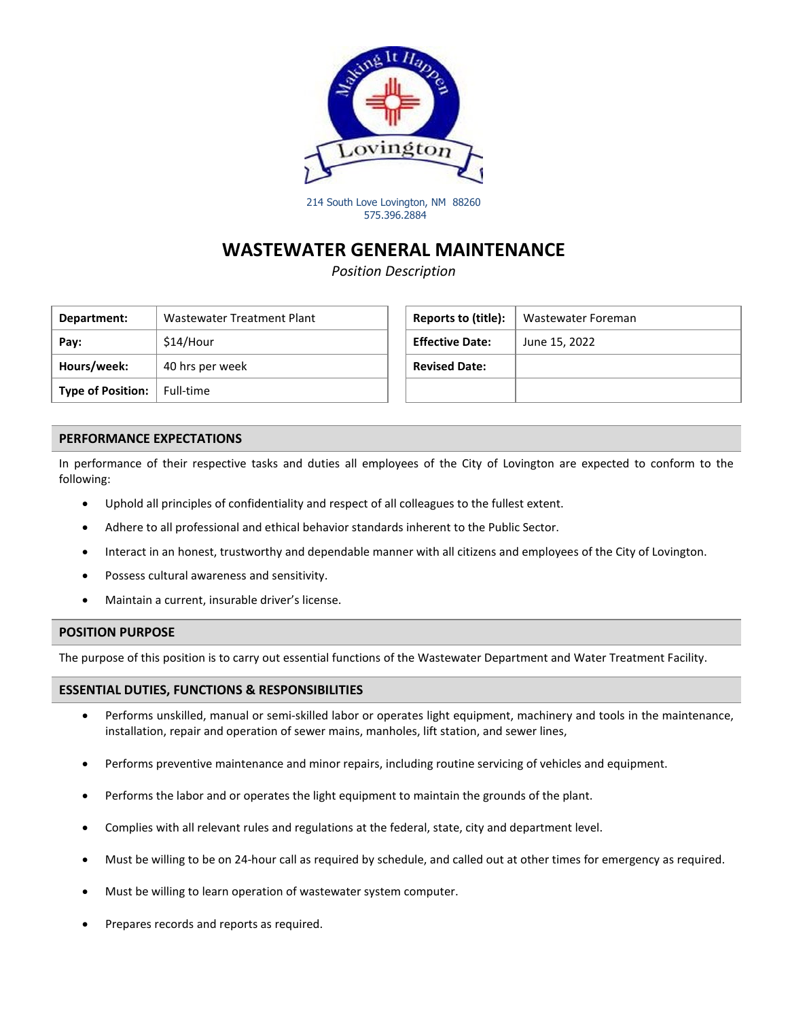

214 South Love Lovington, NM 88260 575.396.2884

### **WASTEWATER GENERAL MAINTENANCE**

*Position Description*

| Department:              | Wastewater Treatment Plant | Reports to (title):    | <b>Wastewater Foreman</b> |
|--------------------------|----------------------------|------------------------|---------------------------|
| Pay:                     | \$14/Hour                  | <b>Effective Date:</b> | June 15, 2022             |
| Hours/week:              | 40 hrs per week            | <b>Revised Date:</b>   |                           |
| <b>Type of Position:</b> | Full-time                  |                        |                           |

| Reports to (title):    | Wastewater Foreman |
|------------------------|--------------------|
| <b>Effective Date:</b> | June 15, 2022      |
| <b>Revised Date:</b>   |                    |
|                        |                    |

#### **PERFORMANCE EXPECTATIONS**

In performance of their respective tasks and duties all employees of the City of Lovington are expected to conform to the following:

- Uphold all principles of confidentiality and respect of all colleagues to the fullest extent.
- Adhere to all professional and ethical behavior standards inherent to the Public Sector.
- Interact in an honest, trustworthy and dependable manner with all citizens and employees of the City of Lovington.
- Possess cultural awareness and sensitivity.
- Maintain a current, insurable driver's license.

#### **POSITION PURPOSE**

The purpose of this position is to carry out essential functions of the Wastewater Department and Water Treatment Facility.

#### **ESSENTIAL DUTIES, FUNCTIONS & RESPONSIBILITIES**

- Performs unskilled, manual or semi-skilled labor or operates light equipment, machinery and tools in the maintenance, installation, repair and operation of sewer mains, manholes, lift station, and sewer lines,
- Performs preventive maintenance and minor repairs, including routine servicing of vehicles and equipment.
- Performs the labor and or operates the light equipment to maintain the grounds of the plant.
- Complies with all relevant rules and regulations at the federal, state, city and department level.
- Must be willing to be on 24-hour call as required by schedule, and called out at other times for emergency as required.
- Must be willing to learn operation of wastewater system computer.
- Prepares records and reports as required.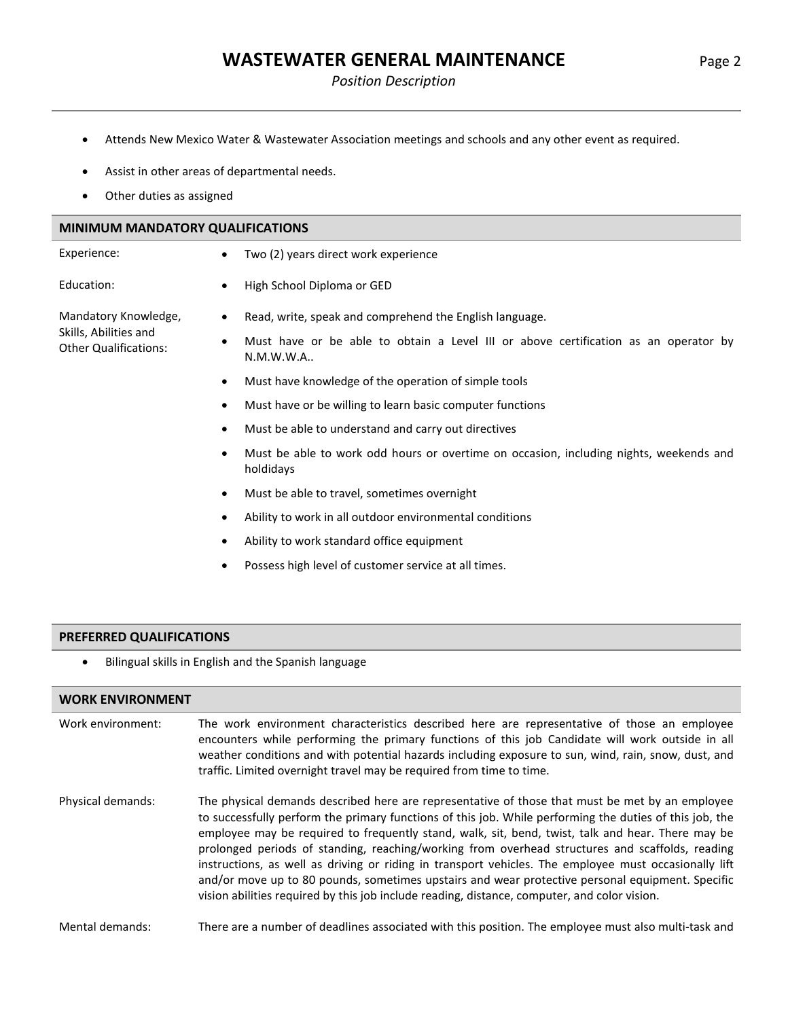## **WASTEWATER GENERAL MAINTENANCE** Page 2

- Attends New Mexico Water & Wastewater Association meetings and schools and any other event as required.
- Assist in other areas of departmental needs.
- Other duties as assigned

| <b>MINIMUM MANDATORY QUALIFICATIONS</b>               |           |                                                                                                     |  |
|-------------------------------------------------------|-----------|-----------------------------------------------------------------------------------------------------|--|
| Experience:                                           | $\bullet$ | Two (2) years direct work experience                                                                |  |
| Education:                                            | ٠         | High School Diploma or GED                                                                          |  |
| Mandatory Knowledge,                                  | ٠         | Read, write, speak and comprehend the English language.                                             |  |
| Skills, Abilities and<br><b>Other Qualifications:</b> | ٠         | Must have or be able to obtain a Level III or above certification as an operator by<br>N.M.W.W.A.   |  |
|                                                       | $\bullet$ | Must have knowledge of the operation of simple tools                                                |  |
|                                                       | $\bullet$ | Must have or be willing to learn basic computer functions                                           |  |
|                                                       | ٠         | Must be able to understand and carry out directives                                                 |  |
|                                                       | ٠         | Must be able to work odd hours or overtime on occasion, including nights, weekends and<br>holdidays |  |
|                                                       | ٠         | Must be able to travel, sometimes overnight                                                         |  |

- Ability to work in all outdoor environmental conditions
- Ability to work standard office equipment
- Possess high level of customer service at all times.

#### **PREFERRED QUALIFICATIONS**

• Bilingual skills in English and the Spanish language

### **WORK ENVIRONMENT**

| Work environment: | The work environment characteristics described here are representative of those an employee<br>encounters while performing the primary functions of this job Candidate will work outside in all<br>weather conditions and with potential hazards including exposure to sun, wind, rain, snow, dust, and<br>traffic. Limited overnight travel may be required from time to time.                                                                                                                                                                                                                                                                                                                                                 |
|-------------------|---------------------------------------------------------------------------------------------------------------------------------------------------------------------------------------------------------------------------------------------------------------------------------------------------------------------------------------------------------------------------------------------------------------------------------------------------------------------------------------------------------------------------------------------------------------------------------------------------------------------------------------------------------------------------------------------------------------------------------|
| Physical demands: | The physical demands described here are representative of those that must be met by an employee<br>to successfully perform the primary functions of this job. While performing the duties of this job, the<br>employee may be required to frequently stand, walk, sit, bend, twist, talk and hear. There may be<br>prolonged periods of standing, reaching/working from overhead structures and scaffolds, reading<br>instructions, as well as driving or riding in transport vehicles. The employee must occasionally lift<br>and/or move up to 80 pounds, sometimes upstairs and wear protective personal equipment. Specific<br>vision abilities required by this job include reading, distance, computer, and color vision. |

Mental demands: There are a number of deadlines associated with this position. The employee must also multi-task and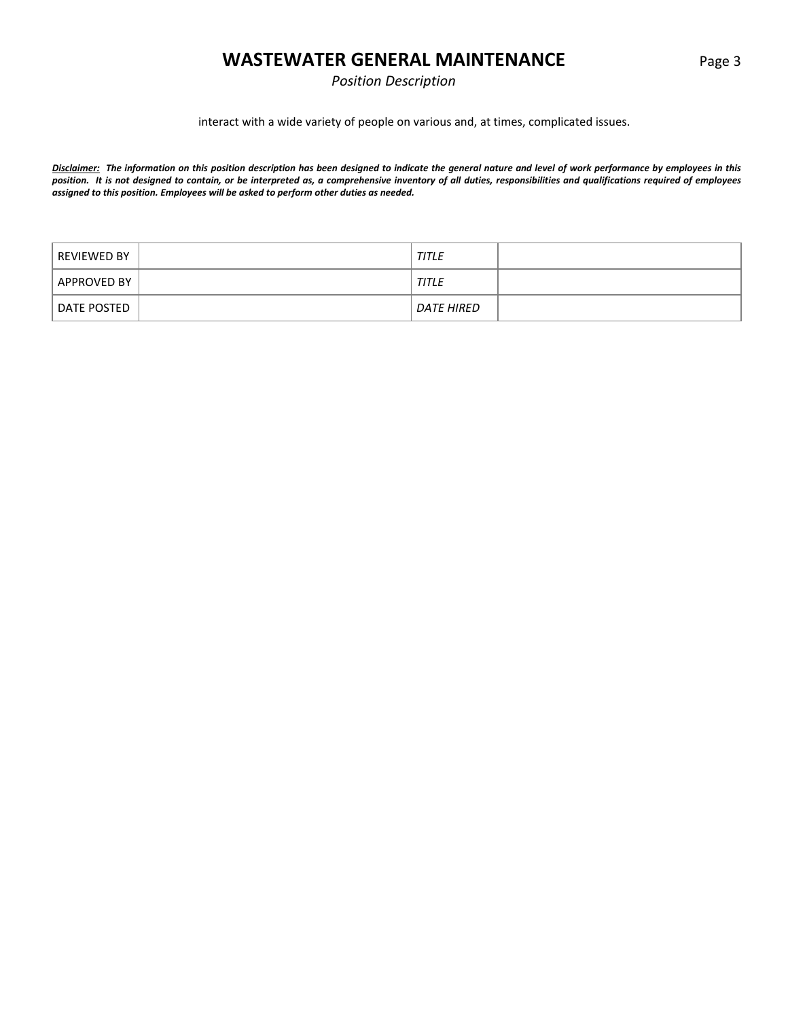### **WASTEWATER GENERAL MAINTENANCE** Page 3

*Position Description*

interact with a wide variety of people on various and, at times, complicated issues.

*Disclaimer: The information on this position description has been designed to indicate the general nature and level of work performance by employees in this position. It is not designed to contain, or be interpreted as, a comprehensive inventory of all duties, responsibilities and qualifications required of employees assigned to this position. Employees will be asked to perform other duties as needed.*

| REVIEWED BY | <b>TITLE</b> |
|-------------|--------------|
| APPROVED BY | <b>TITLE</b> |
| DATE POSTED | DATE HIRED   |